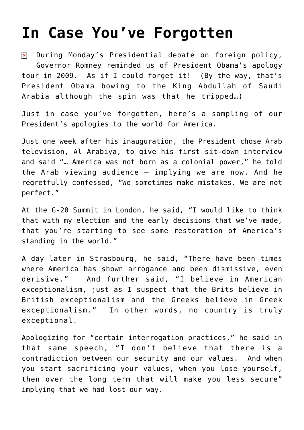## **[In Case You've Forgotten](https://bernardgoldberg.com/in-case-youve-forgotten/)**

During Monday's Presidential debate on foreign policy,  $\pmb{\times}$ Governor Romney reminded us of President Obama's apology tour in 2009. As if I could forget it! (By the way, that's President Obama bowing to the King Abdullah of Saudi Arabia although the spin was that he tripped…)

Just in case you've forgotten, here's a sampling of our President's apologies to the world for America.

Just one week after his inauguration, the President chose Arab television, Al Arabiya, to give his first sit-down interview and said "… America was not born as a colonial power," he told the Arab viewing audience – implying we are now. And he regretfully confessed, "We sometimes make mistakes. We are not perfect."

At the G-20 Summit in London, he said, "I would like to think that with my election and the early decisions that we've made, that you're starting to see some restoration of America's standing in the world."

A day later in Strasbourg, he said, "There have been times where America has shown arrogance and been dismissive, even derisive." And further said, "I believe in American exceptionalism, just as I suspect that the Brits believe in British exceptionalism and the Greeks believe in Greek exceptionalism." In other words, no country is truly exceptional.

Apologizing for "certain interrogation practices," he said in that same speech, "I don't believe that there is a contradiction between our security and our values. And when you start sacrificing your values, when you lose yourself, then over the long term that will make you less secure" implying that we had lost our way.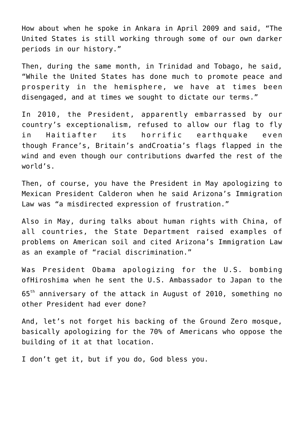How about when he spoke in Ankara in April 2009 and said, "The United States is still working through some of our own darker periods in our history."

Then, during the same month, in Trinidad and Tobago, he said, "While the United States has done much to promote peace and prosperity in the hemisphere, we have at times been disengaged, and at times we sought to dictate our terms."

In 2010, the President, apparently embarrassed by our country's exceptionalism, refused to allow our flag to fly in Haitiafter its horrific earthquake even though France's, Britain's andCroatia's flags flapped in the wind and even though our contributions dwarfed the rest of the world's.

Then, of course, you have the President in May apologizing to Mexican President Calderon when he said Arizona's Immigration Law was "a misdirected expression of frustration."

Also in May, during talks about human rights with China, of all countries, the State Department raised examples of problems on American soil and cited Arizona's Immigration Law as an example of "racial discrimination."

Was President Obama apologizing for the U.S. bombing ofHiroshima when he sent the U.S. Ambassador to Japan to the 65<sup>th</sup> anniversary of the attack in August of 2010, something no other President had ever done?

And, let's not forget his backing of the Ground Zero mosque, basically apologizing for the 70% of Americans who oppose the building of it at that location.

I don't get it, but if you do, God bless you.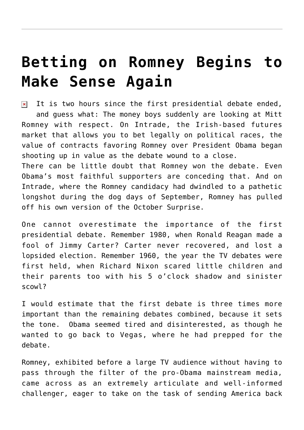## **[Betting on Romney Begins to](https://bernardgoldberg.com/betting-on-romney-begins-to-make-sense-again/) [Make Sense Again](https://bernardgoldberg.com/betting-on-romney-begins-to-make-sense-again/)**

It is two hours since the first presidential debate ended,  $\pmb{\times}$ and guess what: The money boys suddenly are looking at Mitt Romney with respect. On Intrade, the Irish-based futures market that allows you to bet legally on political races, the value of contracts favoring Romney over President Obama began shooting up in value as the debate wound to a close.

There can be little doubt that Romney won the debate. Even Obama's most faithful supporters are conceding that. And on Intrade, where the Romney candidacy had dwindled to a pathetic longshot during the dog days of September, Romney has pulled off his own version of the October Surprise.

One cannot overestimate the importance of the first presidential debate. Remember 1980, when Ronald Reagan made a fool of Jimmy Carter? Carter never recovered, and lost a lopsided election. Remember 1960, the year the TV debates were first held, when Richard Nixon scared little children and their parents too with his 5 o'clock shadow and sinister scowl?

I would estimate that the first debate is three times more important than the remaining debates combined, because it sets the tone. Obama seemed tired and disinterested, as though he wanted to go back to Vegas, where he had prepped for the debate.

Romney, exhibited before a large TV audience without having to pass through the filter of the pro-Obama mainstream media, came across as an extremely articulate and well-informed challenger, eager to take on the task of sending America back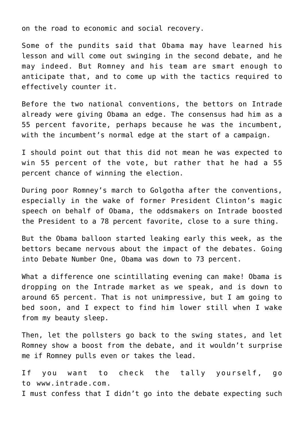on the road to economic and social recovery.

Some of the pundits said that Obama may have learned his lesson and will come out swinging in the second debate, and he may indeed. But Romney and his team are smart enough to anticipate that, and to come up with the tactics required to effectively counter it.

Before the two national conventions, the bettors on Intrade already were giving Obama an edge. The consensus had him as a 55 percent favorite, perhaps because he was the incumbent, with the incumbent's normal edge at the start of a campaign.

I should point out that this did not mean he was expected to win 55 percent of the vote, but rather that he had a 55 percent chance of winning the election.

During poor Romney's march to Golgotha after the conventions, especially in the wake of former President Clinton's magic speech on behalf of Obama, the oddsmakers on Intrade boosted the President to a 78 percent favorite, close to a sure thing.

But the Obama balloon started leaking early this week, as the bettors became nervous about the impact of the debates. Going into Debate Number One, Obama was down to 73 percent.

What a difference one scintillating evening can make! Obama is dropping on the Intrade market as we speak, and is down to around 65 percent. That is not unimpressive, but I am going to bed soon, and I expect to find him lower still when I wake from my beauty sleep.

Then, let the pollsters go back to the swing states, and let Romney show a boost from the debate, and it wouldn't surprise me if Romney pulls even or takes the lead.

If you want to check the tally yourself, go to [www.intrade.com.](http://www.intrade.com/) I must confess that I didn't go into the debate expecting such